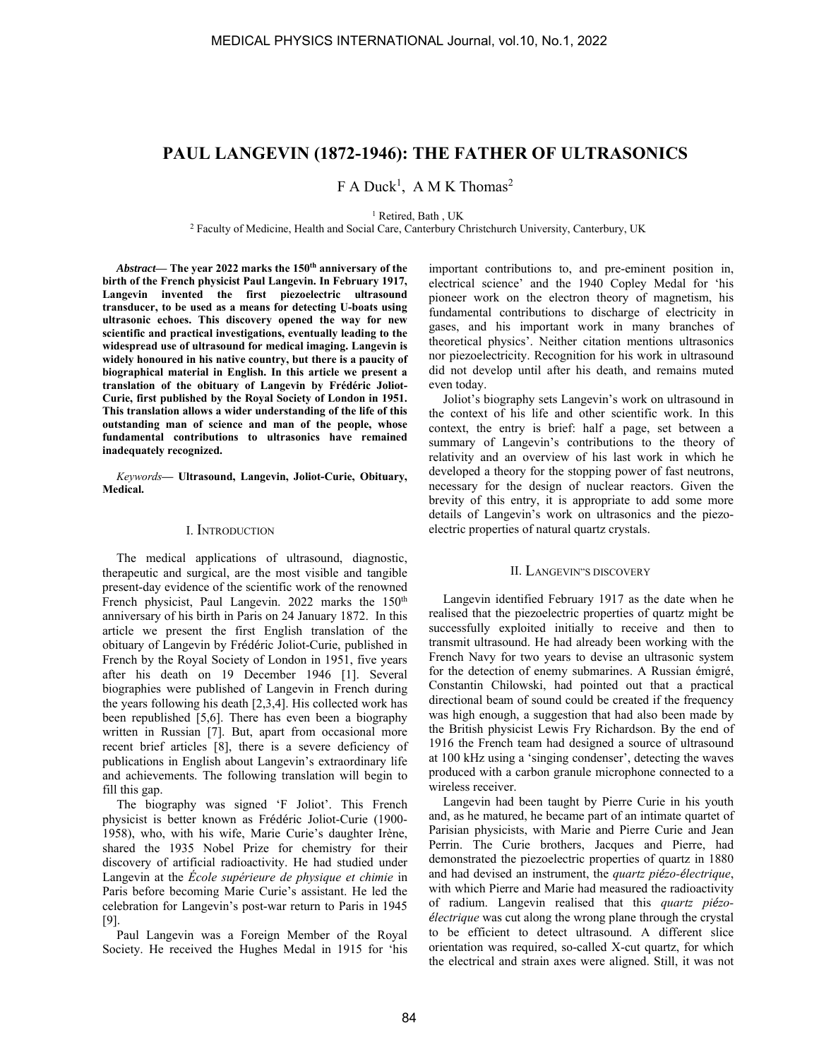# **PAUL LANGEVIN (1872-1946): THE FATHER OF ULTRASONICS**

 $F A Duck<sup>1</sup>$ , A M K Thomas<sup>2</sup>

<sup>1</sup> Retired, Bath, UK

<sup>1</sup> Retired, Bath , UK<br><sup>2</sup> Faculty of Medicine, Health and Social Care, Canterbury Christchurch University, Canterbury, UK

Abstract— The year 2022 marks the 150<sup>th</sup> anniversary of the **birth of the French physicist Paul Langevin. In February 1917, Langevin invented the first piezoelectric ultrasound transducer, to be used as a means for detecting U-boats using ultrasonic echoes. This discovery opened the way for new scientific and practical investigations, eventually leading to the widespread use of ultrasound for medical imaging. Langevin is widely honoured in his native country, but there is a paucity of biographical material in English. In this article we present a translation of the obituary of Langevin by Frédéric Joliot-Curie, first published by the Royal Society of London in 1951. This translation allows a wider understanding of the life of this outstanding man of science and man of the people, whose fundamental contributions to ultrasonics have remained inadequately recognized.** 

*Keywords***— Ultrasound, Langevin, Joliot-Curie, Obituary, Medical.** 

### I. INTRODUCTION

The medical applications of ultrasound, diagnostic, therapeutic and surgical, are the most visible and tangible present-day evidence of the scientific work of the renowned French physicist, Paul Langevin. 2022 marks the 150<sup>th</sup> anniversary of his birth in Paris on 24 January 1872. In this article we present the first English translation of the obituary of Langevin by Frédéric Joliot-Curie, published in French by the Royal Society of London in 1951, five years after his death on 19 December 1946 [1]. Several biographies were published of Langevin in French during the years following his death [2,3,4]. His collected work has been republished [5,6]. There has even been a biography written in Russian [7]. But, apart from occasional more recent brief articles [8], there is a severe deficiency of publications in English about Langevin's extraordinary life and achievements. The following translation will begin to fill this gap.

The biography was signed 'F Joliot'. This French physicist is better known as Frédéric Joliot-Curie (1900- 1958), who, with his wife, Marie Curie's daughter Irène, shared the 1935 Nobel Prize for chemistry for their discovery of artificial radioactivity. He had studied under Langevin at the *École supérieure de physique et chimie* in Paris before becoming Marie Curie's assistant. He led the celebration for Langevin's post-war return to Paris in 1945 [9].

Paul Langevin was a Foreign Member of the Royal Society. He received the Hughes Medal in 1915 for 'his important contributions to, and pre-eminent position in, electrical science' and the 1940 Copley Medal for 'his pioneer work on the electron theory of magnetism, his fundamental contributions to discharge of electricity in gases, and his important work in many branches of theoretical physics'. Neither citation mentions ultrasonics nor piezoelectricity. Recognition for his work in ultrasound did not develop until after his death, and remains muted even today.

Joliot's biography sets Langevin's work on ultrasound in the context of his life and other scientific work. In this context, the entry is brief: half a page, set between a summary of Langevin's contributions to the theory of relativity and an overview of his last work in which he developed a theory for the stopping power of fast neutrons, necessary for the design of nuclear reactors. Given the brevity of this entry, it is appropriate to add some more details of Langevin's work on ultrasonics and the piezoelectric properties of natural quartz crystals.

#### II. LANGEVIN"S DISCOVERY

Langevin identified February 1917 as the date when he realised that the piezoelectric properties of quartz might be successfully exploited initially to receive and then to transmit ultrasound. He had already been working with the French Navy for two years to devise an ultrasonic system for the detection of enemy submarines. A Russian émigré, Constantin Chilowski, had pointed out that a practical directional beam of sound could be created if the frequency was high enough, a suggestion that had also been made by the British physicist Lewis Fry Richardson. By the end of 1916 the French team had designed a source of ultrasound at 100 kHz using a 'singing condenser', detecting the waves produced with a carbon granule microphone connected to a wireless receiver.

Langevin had been taught by Pierre Curie in his youth and, as he matured, he became part of an intimate quartet of Parisian physicists, with Marie and Pierre Curie and Jean Perrin. The Curie brothers, Jacques and Pierre, had demonstrated the piezoelectric properties of quartz in 1880 and had devised an instrument, the *quartz piézo-électrique*, with which Pierre and Marie had measured the radioactivity of radium. Langevin realised that this *quartz piézoélectrique* was cut along the wrong plane through the crystal to be efficient to detect ultrasound. A different slice orientation was required, so-called X-cut quartz, for which the electrical and strain axes were aligned. Still, it was not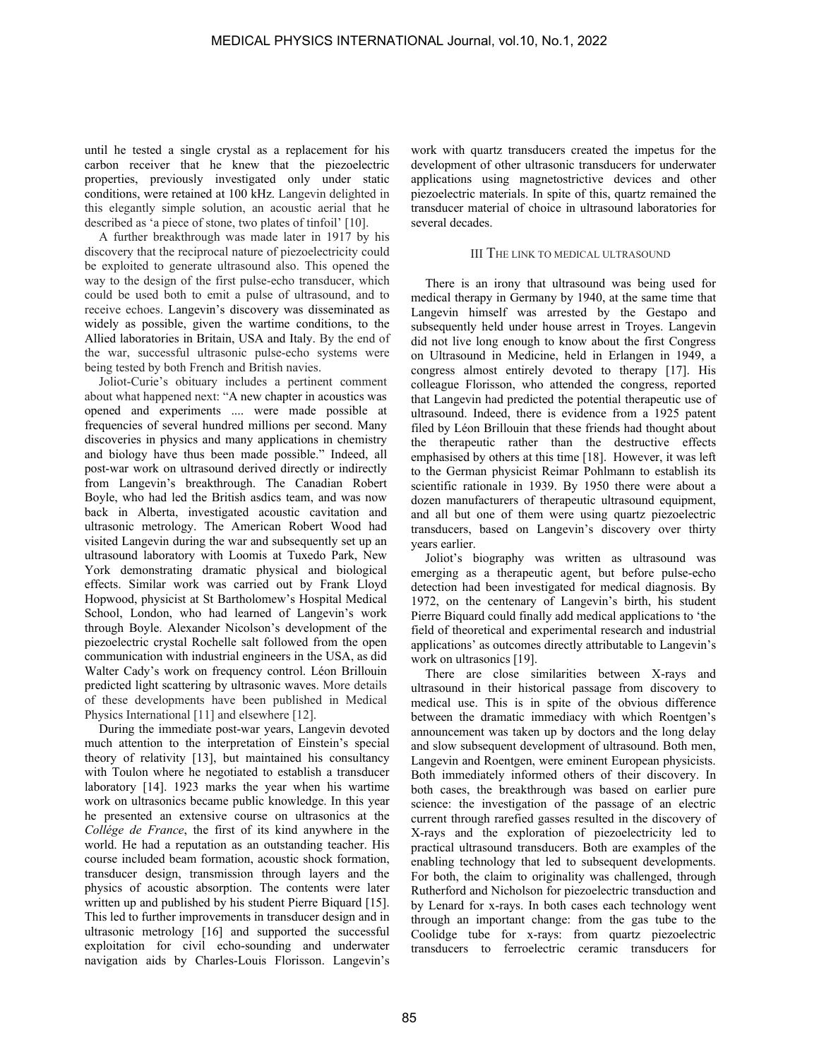until he tested a single crystal as a replacement for his carbon receiver that he knew that the piezoelectric properties, previously investigated only under static conditions, were retained at 100 kHz. Langevin delighted in this elegantly simple solution, an acoustic aerial that he described as 'a piece of stone, two plates of tinfoil' [10].

A further breakthrough was made later in 1917 by his discovery that the reciprocal nature of piezoelectricity could be exploited to generate ultrasound also. This opened the way to the design of the first pulse-echo transducer, which could be used both to emit a pulse of ultrasound, and to receive echoes. Langevin's discovery was disseminated as widely as possible, given the wartime conditions, to the Allied laboratories in Britain, USA and Italy. By the end of the war, successful ultrasonic pulse-echo systems were being tested by both French and British navies.

Joliot-Curie's obituary includes a pertinent comment about what happened next: "A new chapter in acoustics was opened and experiments .... were made possible at frequencies of several hundred millions per second. Many discoveries in physics and many applications in chemistry and biology have thus been made possible." Indeed, all post-war work on ultrasound derived directly or indirectly from Langevin's breakthrough. The Canadian Robert Boyle, who had led the British asdics team, and was now back in Alberta, investigated acoustic cavitation and ultrasonic metrology. The American Robert Wood had visited Langevin during the war and subsequently set up an ultrasound laboratory with Loomis at Tuxedo Park, New York demonstrating dramatic physical and biological effects. Similar work was carried out by Frank Lloyd Hopwood, physicist at St Bartholomew's Hospital Medical School, London, who had learned of Langevin's work through Boyle. Alexander Nicolson's development of the piezoelectric crystal Rochelle salt followed from the open communication with industrial engineers in the USA, as did Walter Cady's work on frequency control. Léon Brillouin predicted light scattering by ultrasonic waves. More details of these developments have been published in Medical Physics International [11] and elsewhere [12].

During the immediate post-war years, Langevin devoted much attention to the interpretation of Einstein's special theory of relativity [13], but maintained his consultancy with Toulon where he negotiated to establish a transducer laboratory [14]. 1923 marks the year when his wartime work on ultrasonics became public knowledge. In this year he presented an extensive course on ultrasonics at the *Collége de France*, the first of its kind anywhere in the world. He had a reputation as an outstanding teacher. His course included beam formation, acoustic shock formation, transducer design, transmission through layers and the physics of acoustic absorption. The contents were later written up and published by his student Pierre Biquard [15]. This led to further improvements in transducer design and in ultrasonic metrology [16] and supported the successful exploitation for civil echo-sounding and underwater navigation aids by Charles-Louis Florisson. Langevin's

work with quartz transducers created the impetus for the development of other ultrasonic transducers for underwater applications using magnetostrictive devices and other piezoelectric materials. In spite of this, quartz remained the transducer material of choice in ultrasound laboratories for several decades.

### III THE LINK TO MEDICAL ULTRASOUND

There is an irony that ultrasound was being used for medical therapy in Germany by 1940, at the same time that Langevin himself was arrested by the Gestapo and subsequently held under house arrest in Troyes. Langevin did not live long enough to know about the first Congress on Ultrasound in Medicine, held in Erlangen in 1949, a congress almost entirely devoted to therapy [17]. His colleague Florisson, who attended the congress, reported that Langevin had predicted the potential therapeutic use of ultrasound. Indeed, there is evidence from a 1925 patent filed by Léon Brillouin that these friends had thought about the therapeutic rather than the destructive effects emphasised by others at this time [18]. However, it was left to the German physicist Reimar Pohlmann to establish its scientific rationale in 1939. By 1950 there were about a dozen manufacturers of therapeutic ultrasound equipment, and all but one of them were using quartz piezoelectric transducers, based on Langevin's discovery over thirty years earlier.

Joliot's biography was written as ultrasound was emerging as a therapeutic agent, but before pulse-echo detection had been investigated for medical diagnosis. By 1972, on the centenary of Langevin's birth, his student Pierre Biquard could finally add medical applications to 'the field of theoretical and experimental research and industrial applications' as outcomes directly attributable to Langevin's work on ultrasonics [19].

There are close similarities between X-rays and ultrasound in their historical passage from discovery to medical use. This is in spite of the obvious difference between the dramatic immediacy with which Roentgen's announcement was taken up by doctors and the long delay and slow subsequent development of ultrasound. Both men, Langevin and Roentgen, were eminent European physicists. Both immediately informed others of their discovery. In both cases, the breakthrough was based on earlier pure science: the investigation of the passage of an electric current through rarefied gasses resulted in the discovery of X-rays and the exploration of piezoelectricity led to practical ultrasound transducers. Both are examples of the enabling technology that led to subsequent developments. For both, the claim to originality was challenged, through Rutherford and Nicholson for piezoelectric transduction and by Lenard for x-rays. In both cases each technology went through an important change: from the gas tube to the Coolidge tube for x-rays: from quartz piezoelectric transducers to ferroelectric ceramic transducers for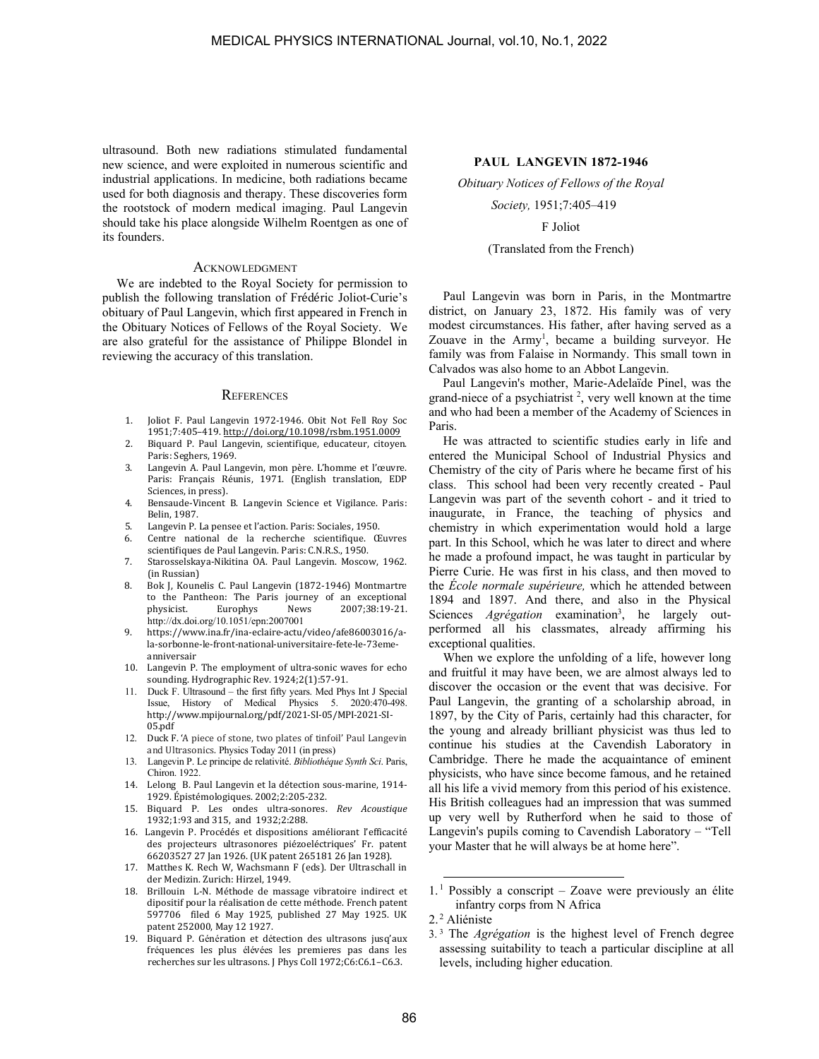ultrasound. Both new radiations stimulated fundamental new science, and were exploited in numerous scientific and industrial applications. In medicine, both radiations became used for both diagnosis and therapy. These discoveries form the rootstock of modern medical imaging. Paul Langevin should take his place alongside Wilhelm Roentgen as one of its founders.

#### **ACKNOWLEDGMENT**

We are indebted to the Royal Society for permission to publish the following translation of Frédéric Joliot-Curie's obituary of Paul Langevin, which first appeared in French in the Obituary Notices of Fellows of the Royal Society. We are also grateful for the assistance of Philippe Blondel in reviewing the accuracy of this translation.

#### **REFERENCES**

- 1. Joliot F. Paul Langevin 1972-1946. Obit Not Fell Roy Soc 1951;7:405–419. http://doi.org/10.1098/rsbm.1951.0009
- 2. Biquard P. Paul Langevin, scientifique, educateur, citoyen. Paris: Seghers, 1969.
- 3. Langevin A. Paul Langevin, mon père. L'homme et l'œuvre. Paris: Français Réunis, 1971. (English translation, EDP Sciences, in press).
- 4. Bensaude-Vincent B. Langevin Science et Vigilance. Paris: Belin, 1987.
- 5. Langevin P. La pensee et l'action. Paris: Sociales, 1950.
- 6. Centre national de la recherche scientifique. Œuvres scientifiques de Paul Langevin. Paris: C.N.R.S., 1950.
- 7. Starosselskaya-Nikitina OA. Paul Langevin. Moscow, 1962. (in Russian)
- 8. Bok J, Kounelis C. Paul Langevin (1872-1946) Montmartre to the Pantheon: The Paris journey of an exceptional physicist. Europhys News 2007;38:19-21. http://dx.doi.org/10.1051/epn:2007001
- 9. https://www.ina.fr/ina-eclaire-actu/video/afe86003016/ala-sorbonne-le-front-national-universitaire-fete-le-73emeanniversair
- 10. Langevin P. The employment of ultra-sonic waves for echo sounding. Hydrographic Rev. 1924;2(1):57-91.
- 11. Duck F. Ultrasound the first fifty years. Med Phys Int J Special Issue, History of Medical Physics 5. 2020:470-498. http://www.mpijournal.org/pdf/2021-SI-05/MPI-2021-SI-05.pdf
- 12. Duck F. 'A piece of stone, two plates of tinfoil' Paul Langevin and Ultrasonics. Physics Today 2011 (in press)
- 13. Langevin P. Le principe de relativité. *Bibliothéque Synth Sci*. Paris, Chiron. 1922.
- 14. Lelong B. Paul Langevin et la détection sous-marine, 1914- 1929. Épistémologiques. 2002;2:205-232.
- 15. Biquard P. Les ondes ultra-sonores. *Rev Acoustique* 1932;1:93 and 315, and 1932;2:288.
- 16. Langevin P. Procédés et dispositions améliorant l'efficacité des projecteurs ultrasonores piézoeléctriques' Fr. patent 66203527 27 Jan 1926. (UK patent 265181 26 Jan 1928).
- 17. Matthes K. Rech W, Wachsmann F (eds). Der Ultraschall in der Medizin. Zurich: Hirzel, 1949.
- 18. Brillouin L-N. Méthode de massage vibratoire indirect et dipositif pour la réalisation de cette méthode. French patent 597706 filed 6 May 1925, published 27 May 1925. UK patent 252000, May 12 1927.
- 19. Biquard P. Génération et détection des ultrasons jusq'aux fréquences les plus élévées les premieres pas dans les recherches sur les ultrasons. J Phys Coll 1972;C6:C6.1–C6.3.

## **PAUL LANGEVIN 1872-1946**

*Obituary Notices of Fellows of the Royal* 

*Society,* 1951;7:405–419

F Joliot

#### (Translated from the French)

Paul Langevin was born in Paris, in the Montmartre district, on January 23, 1872. His family was of very modest circumstances. His father, after having served as a Zouave in the Army<sup>1</sup>, became a building surveyor. He family was from Falaise in Normandy. This small town in Calvados was also home to an Abbot Langevin.

Paul Langevin's mother, Marie-Adelaïde Pinel, was the grand-niece of a psychiatrist 2 , very well known at the time and who had been a member of the Academy of Sciences in Paris.

He was attracted to scientific studies early in life and entered the Municipal School of Industrial Physics and Chemistry of the city of Paris where he became first of his class. This school had been very recently created - Paul Langevin was part of the seventh cohort - and it tried to inaugurate, in France, the teaching of physics and chemistry in which experimentation would hold a large part. In this School, which he was later to direct and where he made a profound impact, he was taught in particular by Pierre Curie. He was first in his class, and then moved to the *École normale supérieure,* which he attended between 1894 and 1897. And there, and also in the Physical Sciences *Agrégation* examination<sup>3</sup>, he largely outperformed all his classmates, already affirming his exceptional qualities.

When we explore the unfolding of a life, however long and fruitful it may have been, we are almost always led to discover the occasion or the event that was decisive. For Paul Langevin, the granting of a scholarship abroad, in 1897, by the City of Paris, certainly had this character, for the young and already brilliant physicist was thus led to continue his studies at the Cavendish Laboratory in Cambridge. There he made the acquaintance of eminent physicists, who have since become famous, and he retained all his life a vivid memory from this period of his existence. His British colleagues had an impression that was summed up very well by Rutherford when he said to those of Langevin's pupils coming to Cavendish Laboratory – "Tell your Master that he will always be at home here".

2.<sup>2</sup> Aliéniste

 $1<sup>1</sup>$  Possibly a conscript – Zoave were previously an élite infantry corps from N Africa

<sup>3.</sup> <sup>3</sup> The *Agrégation* is the highest level of French degree assessing suitability to teach a particular discipline at all levels, including higher education.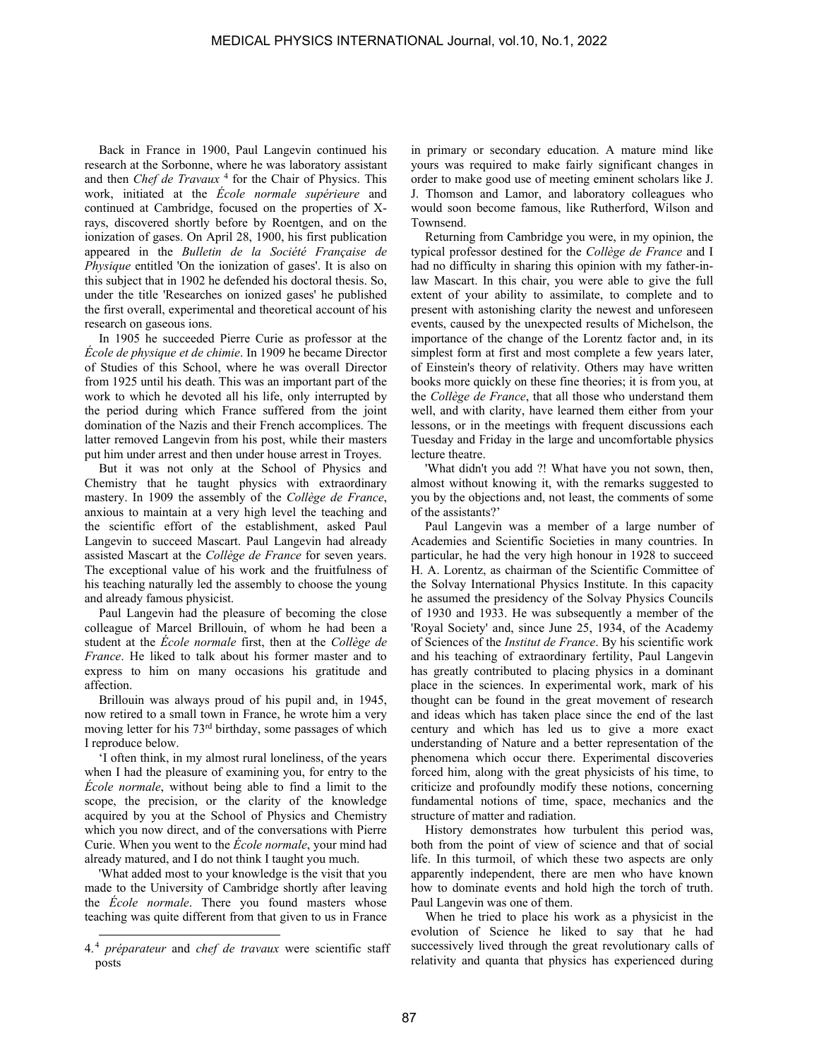Back in France in 1900, Paul Langevin continued his research at the Sorbonne, where he was laboratory assistant and then *Chef de Travaux*<sup>4</sup> for the Chair of Physics. This work, initiated at the *École normale supérieure* and continued at Cambridge, focused on the properties of Xrays, discovered shortly before by Roentgen, and on the ionization of gases. On April 28, 1900, his first publication appeared in the *Bulletin de la Société Française de Physique* entitled 'On the ionization of gases'. It is also on this subject that in 1902 he defended his doctoral thesis. So, under the title 'Researches on ionized gases' he published the first overall, experimental and theoretical account of his research on gaseous ions.

In 1905 he succeeded Pierre Curie as professor at the *École de physique et de chimie*. In 1909 he became Director of Studies of this School, where he was overall Director from 1925 until his death. This was an important part of the work to which he devoted all his life, only interrupted by the period during which France suffered from the joint domination of the Nazis and their French accomplices. The latter removed Langevin from his post, while their masters put him under arrest and then under house arrest in Troyes.

But it was not only at the School of Physics and Chemistry that he taught physics with extraordinary mastery. In 1909 the assembly of the *Collège de France*, anxious to maintain at a very high level the teaching and the scientific effort of the establishment, asked Paul Langevin to succeed Mascart. Paul Langevin had already assisted Mascart at the *Collège de France* for seven years. The exceptional value of his work and the fruitfulness of his teaching naturally led the assembly to choose the young and already famous physicist.

Paul Langevin had the pleasure of becoming the close colleague of Marcel Brillouin, of whom he had been a student at the *École normale* first, then at the *Collège de France*. He liked to talk about his former master and to express to him on many occasions his gratitude and affection.

Brillouin was always proud of his pupil and, in 1945, now retired to a small town in France, he wrote him a very moving letter for his 73rd birthday, some passages of which I reproduce below.

'I often think, in my almost rural loneliness, of the years when I had the pleasure of examining you, for entry to the *École normale*, without being able to find a limit to the scope, the precision, or the clarity of the knowledge acquired by you at the School of Physics and Chemistry which you now direct, and of the conversations with Pierre Curie. When you went to the *École normale*, your mind had already matured, and I do not think I taught you much.

'What added most to your knowledge is the visit that you made to the University of Cambridge shortly after leaving the *École normale*. There you found masters whose teaching was quite different from that given to us in France

in primary or secondary education. A mature mind like yours was required to make fairly significant changes in order to make good use of meeting eminent scholars like J. J. Thomson and Lamor, and laboratory colleagues who would soon become famous, like Rutherford, Wilson and Townsend.

Returning from Cambridge you were, in my opinion, the typical professor destined for the *Collège de France* and I had no difficulty in sharing this opinion with my father-inlaw Mascart. In this chair, you were able to give the full extent of your ability to assimilate, to complete and to present with astonishing clarity the newest and unforeseen events, caused by the unexpected results of Michelson, the importance of the change of the Lorentz factor and, in its simplest form at first and most complete a few years later, of Einstein's theory of relativity. Others may have written books more quickly on these fine theories; it is from you, at the *Collège de France*, that all those who understand them well, and with clarity, have learned them either from your lessons, or in the meetings with frequent discussions each Tuesday and Friday in the large and uncomfortable physics lecture theatre.

'What didn't you add ?! What have you not sown, then, almost without knowing it, with the remarks suggested to you by the objections and, not least, the comments of some of the assistants?'

Paul Langevin was a member of a large number of Academies and Scientific Societies in many countries. In particular, he had the very high honour in 1928 to succeed H. A. Lorentz, as chairman of the Scientific Committee of the Solvay International Physics Institute. In this capacity he assumed the presidency of the Solvay Physics Councils of 1930 and 1933. He was subsequently a member of the 'Royal Society' and, since June 25, 1934, of the Academy of Sciences of the *Institut de France*. By his scientific work and his teaching of extraordinary fertility, Paul Langevin has greatly contributed to placing physics in a dominant place in the sciences. In experimental work, mark of his thought can be found in the great movement of research and ideas which has taken place since the end of the last century and which has led us to give a more exact understanding of Nature and a better representation of the phenomena which occur there. Experimental discoveries forced him, along with the great physicists of his time, to criticize and profoundly modify these notions, concerning fundamental notions of time, space, mechanics and the structure of matter and radiation.

History demonstrates how turbulent this period was, both from the point of view of science and that of social life. In this turmoil, of which these two aspects are only apparently independent, there are men who have known how to dominate events and hold high the torch of truth. Paul Langevin was one of them.

When he tried to place his work as a physicist in the evolution of Science he liked to say that he had successively lived through the great revolutionary calls of relativity and quanta that physics has experienced during

<sup>4.</sup> <sup>4</sup> *préparateur* and *chef de travaux* were scientific staff posts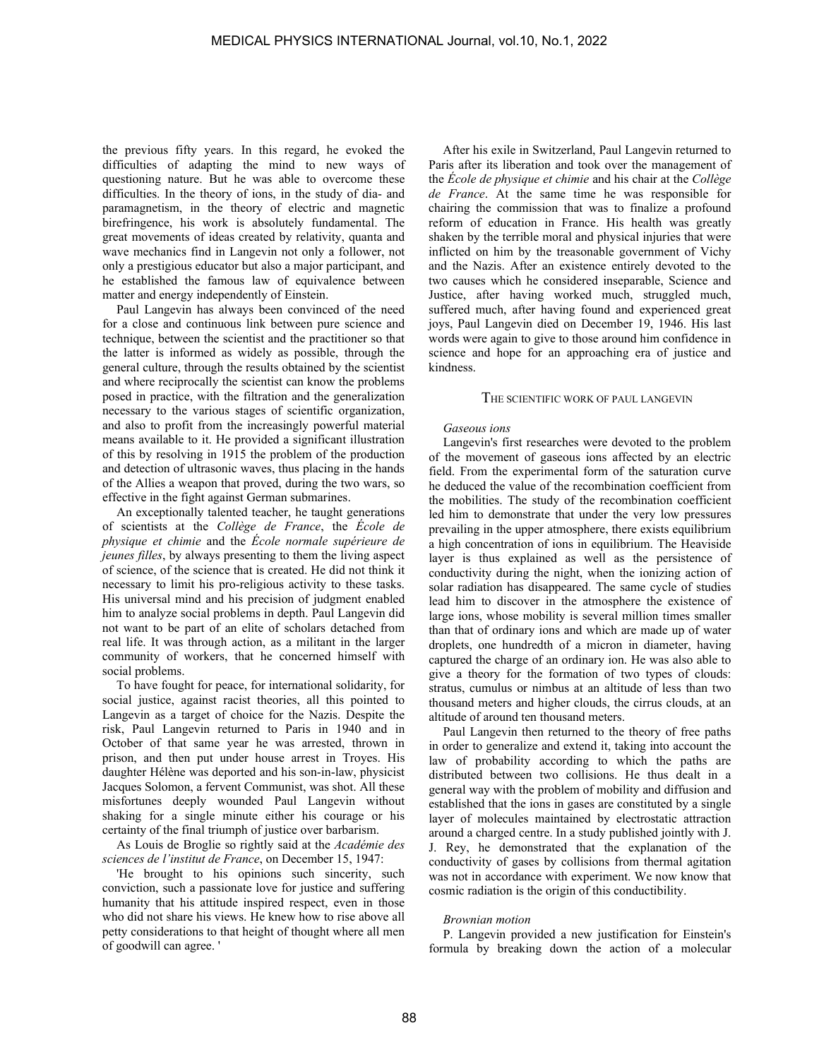the previous fifty years. In this regard, he evoked the difficulties of adapting the mind to new ways of questioning nature. But he was able to overcome these difficulties. In the theory of ions, in the study of dia- and paramagnetism, in the theory of electric and magnetic birefringence, his work is absolutely fundamental. The great movements of ideas created by relativity, quanta and wave mechanics find in Langevin not only a follower, not only a prestigious educator but also a major participant, and he established the famous law of equivalence between matter and energy independently of Einstein.

Paul Langevin has always been convinced of the need for a close and continuous link between pure science and technique, between the scientist and the practitioner so that the latter is informed as widely as possible, through the general culture, through the results obtained by the scientist and where reciprocally the scientist can know the problems posed in practice, with the filtration and the generalization necessary to the various stages of scientific organization, and also to profit from the increasingly powerful material means available to it. He provided a significant illustration of this by resolving in 1915 the problem of the production and detection of ultrasonic waves, thus placing in the hands of the Allies a weapon that proved, during the two wars, so effective in the fight against German submarines.

An exceptionally talented teacher, he taught generations of scientists at the *Collège de France*, the *École de physique et chimie* and the *École normale supérieure de jeunes filles*, by always presenting to them the living aspect of science, of the science that is created. He did not think it necessary to limit his pro-religious activity to these tasks. His universal mind and his precision of judgment enabled him to analyze social problems in depth. Paul Langevin did not want to be part of an elite of scholars detached from real life. It was through action, as a militant in the larger community of workers, that he concerned himself with social problems.

To have fought for peace, for international solidarity, for social justice, against racist theories, all this pointed to Langevin as a target of choice for the Nazis. Despite the risk, Paul Langevin returned to Paris in 1940 and in October of that same year he was arrested, thrown in prison, and then put under house arrest in Troyes. His daughter Hélène was deported and his son-in-law, physicist Jacques Solomon, a fervent Communist, was shot. All these misfortunes deeply wounded Paul Langevin without shaking for a single minute either his courage or his certainty of the final triumph of justice over barbarism.

As Louis de Broglie so rightly said at the *Académie des sciences de l'institut de France*, on December 15, 1947:

'He brought to his opinions such sincerity, such conviction, such a passionate love for justice and suffering humanity that his attitude inspired respect, even in those who did not share his views. He knew how to rise above all petty considerations to that height of thought where all men of goodwill can agree. '

After his exile in Switzerland, Paul Langevin returned to Paris after its liberation and took over the management of the *École de physique et chimie* and his chair at the *Collège de France*. At the same time he was responsible for chairing the commission that was to finalize a profound reform of education in France. His health was greatly shaken by the terrible moral and physical injuries that were inflicted on him by the treasonable government of Vichy and the Nazis. After an existence entirely devoted to the two causes which he considered inseparable, Science and Justice, after having worked much, struggled much, suffered much, after having found and experienced great joys, Paul Langevin died on December 19, 1946. His last words were again to give to those around him confidence in science and hope for an approaching era of justice and kindness.

#### THE SCIENTIFIC WORK OF PAUL LANGEVIN

#### *Gaseous ions*

Langevin's first researches were devoted to the problem of the movement of gaseous ions affected by an electric field. From the experimental form of the saturation curve he deduced the value of the recombination coefficient from the mobilities. The study of the recombination coefficient led him to demonstrate that under the very low pressures prevailing in the upper atmosphere, there exists equilibrium a high concentration of ions in equilibrium. The Heaviside layer is thus explained as well as the persistence of conductivity during the night, when the ionizing action of solar radiation has disappeared. The same cycle of studies lead him to discover in the atmosphere the existence of large ions, whose mobility is several million times smaller than that of ordinary ions and which are made up of water droplets, one hundredth of a micron in diameter, having captured the charge of an ordinary ion. He was also able to give a theory for the formation of two types of clouds: stratus, cumulus or nimbus at an altitude of less than two thousand meters and higher clouds, the cirrus clouds, at an altitude of around ten thousand meters.

Paul Langevin then returned to the theory of free paths in order to generalize and extend it, taking into account the law of probability according to which the paths are distributed between two collisions. He thus dealt in a general way with the problem of mobility and diffusion and established that the ions in gases are constituted by a single layer of molecules maintained by electrostatic attraction around a charged centre. In a study published jointly with J. J. Rey, he demonstrated that the explanation of the conductivity of gases by collisions from thermal agitation was not in accordance with experiment. We now know that cosmic radiation is the origin of this conductibility.

#### *Brownian motion*

P. Langevin provided a new justification for Einstein's formula by breaking down the action of a molecular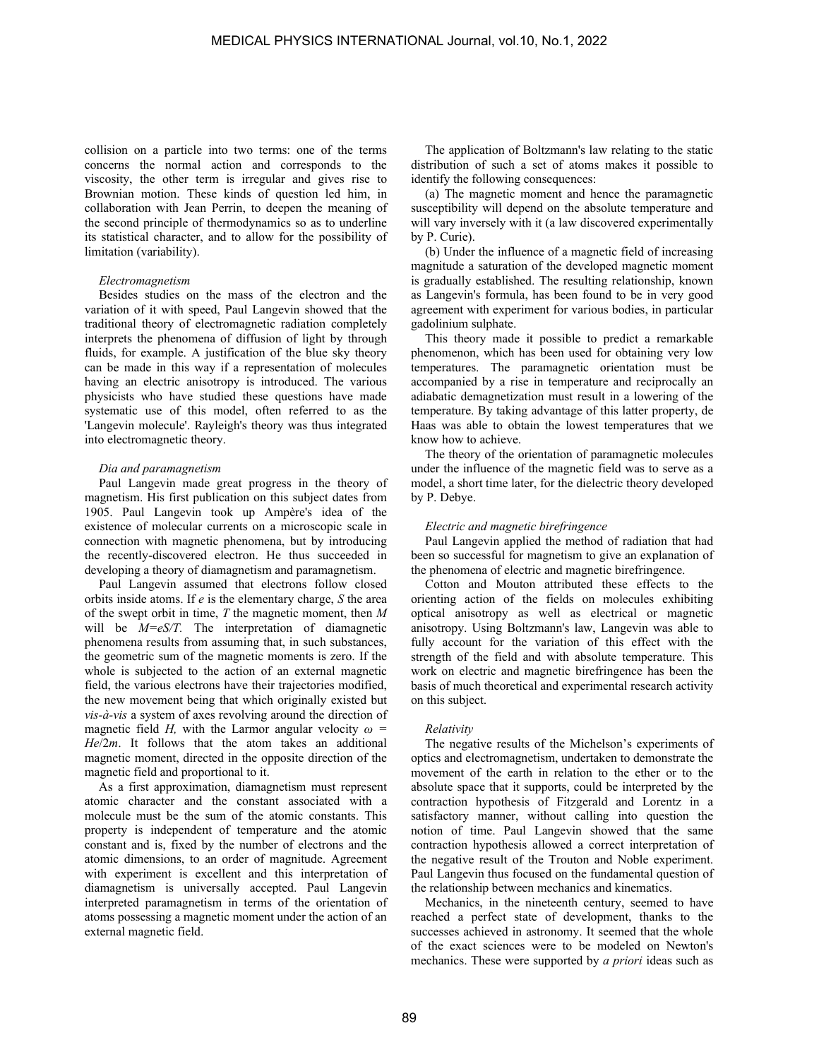collision on a particle into two terms: one of the terms concerns the normal action and corresponds to the viscosity, the other term is irregular and gives rise to Brownian motion. These kinds of question led him, in collaboration with Jean Perrin, to deepen the meaning of the second principle of thermodynamics so as to underline its statistical character, and to allow for the possibility of limitation (variability).

#### *Electromagnetism*

Besides studies on the mass of the electron and the variation of it with speed, Paul Langevin showed that the traditional theory of electromagnetic radiation completely interprets the phenomena of diffusion of light by through fluids, for example. A justification of the blue sky theory can be made in this way if a representation of molecules having an electric anisotropy is introduced. The various physicists who have studied these questions have made systematic use of this model, often referred to as the 'Langevin molecule'. Rayleigh's theory was thus integrated into electromagnetic theory.

#### *Dia and paramagnetism*

Paul Langevin made great progress in the theory of magnetism. His first publication on this subject dates from 1905. Paul Langevin took up Ampère's idea of the existence of molecular currents on a microscopic scale in connection with magnetic phenomena, but by introducing the recently-discovered electron. He thus succeeded in developing a theory of diamagnetism and paramagnetism.

Paul Langevin assumed that electrons follow closed orbits inside atoms. If *e* is the elementary charge, *S* the area of the swept orbit in time, *T* the magnetic moment, then *M*  will be  $M=$  eS/T. The interpretation of diamagnetic phenomena results from assuming that, in such substances, the geometric sum of the magnetic moments is zero. If the whole is subjected to the action of an external magnetic field, the various electrons have their trajectories modified, the new movement being that which originally existed but *vis-à-vis* a system of axes revolving around the direction of magnetic field *H*, with the Larmor angular velocity  $\omega$  = *He*/2*m*. It follows that the atom takes an additional magnetic moment, directed in the opposite direction of the magnetic field and proportional to it.

As a first approximation, diamagnetism must represent atomic character and the constant associated with a molecule must be the sum of the atomic constants. This property is independent of temperature and the atomic constant and is, fixed by the number of electrons and the atomic dimensions, to an order of magnitude. Agreement with experiment is excellent and this interpretation of diamagnetism is universally accepted. Paul Langevin interpreted paramagnetism in terms of the orientation of atoms possessing a magnetic moment under the action of an external magnetic field.

The application of Boltzmann's law relating to the static distribution of such a set of atoms makes it possible to identify the following consequences:

(a) The magnetic moment and hence the paramagnetic susceptibility will depend on the absolute temperature and will vary inversely with it (a law discovered experimentally by P. Curie).

(b) Under the influence of a magnetic field of increasing magnitude a saturation of the developed magnetic moment is gradually established. The resulting relationship, known as Langevin's formula, has been found to be in very good agreement with experiment for various bodies, in particular gadolinium sulphate.

This theory made it possible to predict a remarkable phenomenon, which has been used for obtaining very low temperatures. The paramagnetic orientation must be accompanied by a rise in temperature and reciprocally an adiabatic demagnetization must result in a lowering of the temperature. By taking advantage of this latter property, de Haas was able to obtain the lowest temperatures that we know how to achieve.

The theory of the orientation of paramagnetic molecules under the influence of the magnetic field was to serve as a model, a short time later, for the dielectric theory developed by P. Debye.

#### *Electric and magnetic birefringence*

Paul Langevin applied the method of radiation that had been so successful for magnetism to give an explanation of the phenomena of electric and magnetic birefringence.

Cotton and Mouton attributed these effects to the orienting action of the fields on molecules exhibiting optical anisotropy as well as electrical or magnetic anisotropy. Using Boltzmann's law, Langevin was able to fully account for the variation of this effect with the strength of the field and with absolute temperature. This work on electric and magnetic birefringence has been the basis of much theoretical and experimental research activity on this subject.

#### *Relativity*

The negative results of the Michelson's experiments of optics and electromagnetism, undertaken to demonstrate the movement of the earth in relation to the ether or to the absolute space that it supports, could be interpreted by the contraction hypothesis of Fitzgerald and Lorentz in a satisfactory manner, without calling into question the notion of time. Paul Langevin showed that the same contraction hypothesis allowed a correct interpretation of the negative result of the Trouton and Noble experiment. Paul Langevin thus focused on the fundamental question of the relationship between mechanics and kinematics.

Mechanics, in the nineteenth century, seemed to have reached a perfect state of development, thanks to the successes achieved in astronomy. It seemed that the whole of the exact sciences were to be modeled on Newton's mechanics. These were supported by *a priori* ideas such as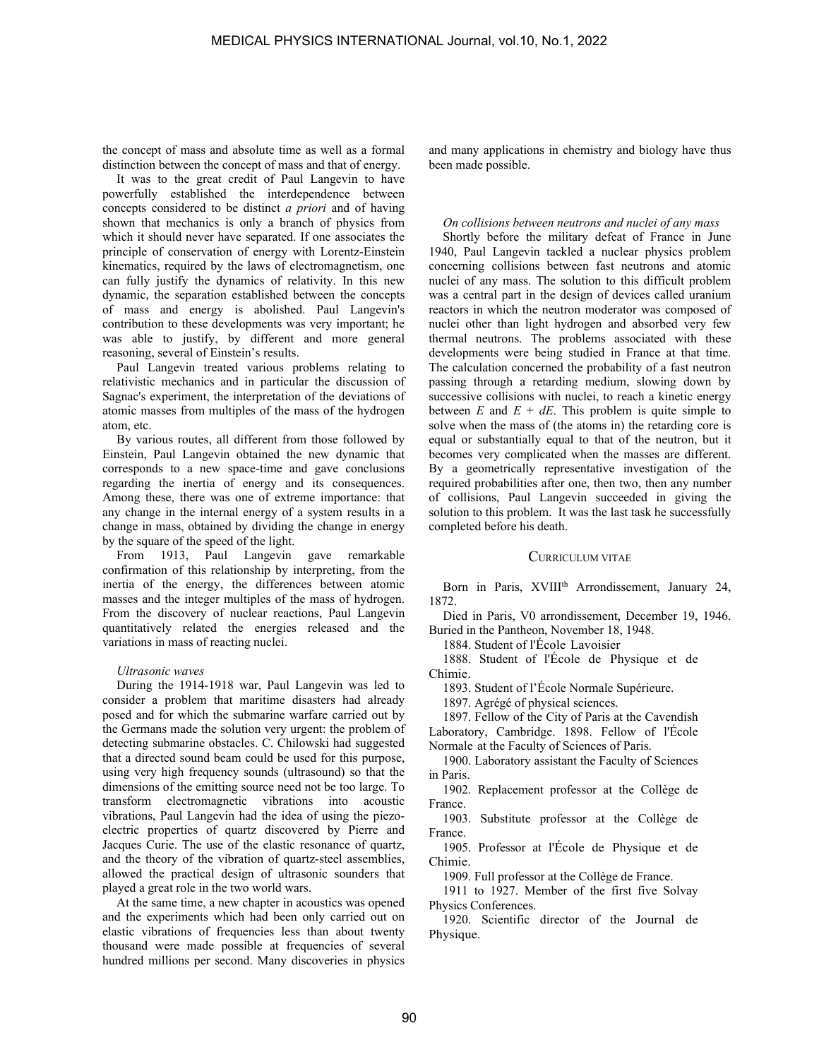the concept of mass and absolute time as well as a formal distinction between the concept of mass and that of energy.

It was to the great credit of Paul Langevin to have powerfully established the interdependence between concepts considered to be distinct *a priori* and of having shown that mechanics is only a branch of physics from which it should never have separated. If one associates the principle of conservation of energy with Lorentz-Einstein kinematics, required by the laws of electromagnetism, one can fully justify the dynamics of relativity. In this new dynamic, the separation established between the concepts of mass and energy is abolished. Paul Langevin's contribution to these developments was very important; he was able to justify, by different and more general reasoning, several of Einstein's results.

Paul Langevin treated various problems relating to relativistic mechanics and in particular the discussion of Sagnac's experiment, the interpretation of the deviations of atomic masses from multiples of the mass of the hydrogen atom, etc.

By various routes, all different from those followed by Einstein, Paul Langevin obtained the new dynamic that corresponds to a new space-time and gave conclusions regarding the inertia of energy and its consequences. Among these, there was one of extreme importance: that any change in the internal energy of a system results in a change in mass, obtained by dividing the change in energy by the square of the speed of the light.

From 1913, Paul Langevin gave remarkable confirmation of this relationship by interpreting, from the inertia of the energy, the differences between atomic masses and the integer multiples of the mass of hydrogen. From the discovery of nuclear reactions, Paul Langevin quantitatively related the energies released and the variations in mass of reacting nuclei.

#### *Ultrasonic waves*

During the 1914-1918 war, Paul Langevin was led to consider a problem that maritime disasters had already posed and for which the submarine warfare carried out by the Germans made the solution very urgent: the problem of detecting submarine obstacles. C. Chilowski had suggested that a directed sound beam could be used for this purpose, using very high frequency sounds (ultrasound) so that the dimensions of the emitting source need not be too large. To transform electromagnetic vibrations into acoustic vibrations, Paul Langevin had the idea of using the piezoelectric properties of quartz discovered by Pierre and Jacques Curie. The use of the elastic resonance of quartz, and the theory of the vibration of quartz-steel assemblies, allowed the practical design of ultrasonic sounders that played a great role in the two world wars.

At the same time, a new chapter in acoustics was opened and the experiments which had been only carried out on elastic vibrations of frequencies less than about twenty thousand were made possible at frequencies of several hundred millions per second. Many discoveries in physics and many applications in chemistry and biology have thus been made possible.

## *On collisions between neutrons and nuclei of any mass*

Shortly before the military defeat of France in June 1940, Paul Langevin tackled a nuclear physics problem concerning collisions between fast neutrons and atomic nuclei of any mass. The solution to this difficult problem was a central part in the design of devices called uranium reactors in which the neutron moderator was composed of nuclei other than light hydrogen and absorbed very few thermal neutrons. The problems associated with these developments were being studied in France at that time. The calculation concerned the probability of a fast neutron passing through a retarding medium, slowing down by successive collisions with nuclei, to reach a kinetic energy between  $E$  and  $E + dE$ . This problem is quite simple to solve when the mass of (the atoms in) the retarding core is equal or substantially equal to that of the neutron, but it becomes very complicated when the masses are different. By a geometrically representative investigation of the required probabilities after one, then two, then any number of collisions, Paul Langevin succeeded in giving the solution to this problem. It was the last task he successfully completed before his death.

#### CURRICULUM VITAE

Born in Paris, XVIII<sup>th</sup> Arrondissement, January 24, 1872.

Died in Paris, V0 arrondissement, December 19, 1946. Buried in the Pantheon, November 18, 1948.

1884. Student of l'École Lavoisier

1888. Student of l'École de Physique et de Chimie.

1893. Student of l'École Normale Supérieure.

1897. Agrégé of physical sciences.

1897. Fellow of the City of Paris at the Cavendish Laboratory, Cambridge. 1898. Fellow of l'École Normale at the Faculty of Sciences of Paris.

1900. Laboratory assistant the Faculty of Sciences in Paris.

1902. Replacement professor at the Collège de France.

1903. Substitute professor at the Collège de France.

1905. Professor at l'École de Physique et de Chimie.

1909. Full professor at the Collège de France.

1911 to 1927. Member of the first five Solvay Physics Conferences.

1920. Scientific director of the Journal de Physique.